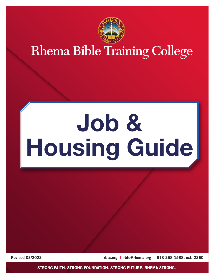

# **Rhema Bible Training College**

# **Job & Housing Guide**

Revised 03/2022 **[rbtc.org](http://rbtc.org) | [rbtc@rhema.org](mailto:rbtc%40rhema.org?subject=) | 918-258-1588**, ext. 2260

STRONG FAITH. STRONG FOUNDATION. STRONG FUTURE. RHEMA STRONG.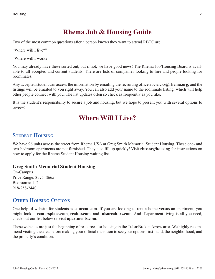## **Rhema Job & Housing Guide**

Two of the most common questions after a person knows they want to attend RBTC are:

"Where will I live?"

"Where will I work?"

You may already have these sorted out, but if not, we have good news! The Rhema Job/Housing Board is available to all accepted and current students. There are lists of companies looking to hire and people looking for roommates.

Any accepted student can access the information by emailing the recruiting office at **[cwicks@rhema.org](mailto:cwicks%40rhema.org?subject=)**, and the listings will be emailed to you right away. You can also add your name to the roommate listing, which will help other people connect with you. The list updates often so check as frequently as you like.

It is the student's responsibility to secure a job and housing, but we hope to present you with several options to review!

### **Where Will I Live?**

#### **Student Housing**

We have 96 units across the street from Rhema USA at Greg Smith Memorial Student Housing. These one- and two-bedroom apartments are not furnished. They also fill up quickly! Visit **[rbtc.org/housing](http://rbtc.org/housing)** for instructions on how to apply for the Rhema Student Housing waiting list.

#### **Greg Smith Memorial Student Housing**

On-Campus Price Range: \$575–\$665 Bedrooms: 1–2 918-258-2440

#### **OTHER HOUSING OPTIONS**

One helpful website for students is **[edurent.com](http://edurent.com)**. If you are looking to rent a home versus an apartment, you might look at **[rentersplace.com](http://rentersplace.com)**, **[realtor.com](http://realtor.com)**, and **[tulsarealtors.com](http://tulsarealtors.com)**. And if apartment living is all you need, check out our list below or visit **[apartments.com](http://apartments.com)**.

These websites are just the beginning of resources for housing in the Tulsa/Broken Arrow area. We highly recommend visiting the area before making your official transition to see your options first-hand, the neighborhood, and the property's condition.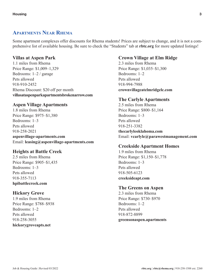#### **Apartments Near Rhema**

Some apartment complexes offer discounts for Rhema students! Prices are subject to change, and it is not a comprehensive list of available housing. Be sure to check the "Students" tab at **[rbtc.org](http://rbtc.org)** for more updated listings!

#### **Villas at Aspen Park**

1.1 miles from Rhema Price Range: \$1,009–1,329 Bedrooms: 1–2 / garage Pets allowed 918-910-2452 Rhema Discount: \$20 off per month **[villasataspenparkapartmentsbrokenarrow.com](http://villasataspenparkapartmentsbrokenarrow.com)**

#### **Aspen Village Apartments**

1.8 miles from Rhema Price Range: \$975–\$1,380 Bedrooms: 1–3 Pets allowed 918-258-2021 **[aspenvillage-apartments.com](http://aspenvillage-apartments.com)** Email: **[leasing@aspenvillage-apartments.com](mailto:leasing%40aspenvillage-apartments.com?subject=)**

#### **Heights at Battle Creek**

2.5 miles from Rhema Price Range: \$905–\$1,435 Bedrooms: 1–3 Pets allowed 918-355-7113 **[hpibattlecreek.com](http://hpibattlecreek.com)**

#### **Hickory Grove**

1.9 miles from Rhema Price Range: \$788–\$938 Bedrooms: 1–2 Pets allowed 918-258-3055 **[hickorygroveapts.net](https://www.hickorygroveapts.net)**

#### **Crown Village at Elm Ridge**

2.3 miles from Rhema Price Range: \$1,035–\$1,300 Bedrooms: 1–2 Pets allowed 918-994-7988 **[crownvillageatelmridgelc.com](http://crownvillageatelmridgelc.com)**

#### **The Carlyle Apartments**

2.5 miles from Rhema Price Range: \$800–\$1,164 Bedrooms: 1–3 Pets allowed 918-251-3382 **[thecarlyleoklahoma.com](http://thecarlyleoklahoma.com)** Email: **[vcarlyle@parawestmanagement.com](mailto:vcarlyle%40parawestmanagement.com?subject=)**

#### **Creekside Apartment Homes**

1.9 miles from Rhema Price Range: \$1,150–\$1,778 Bedrooms: 1–3 Pets allowed 918-505-6123 **[creeksideapt.com](https://www.creeksideapt.com/)**

#### **The Greens on Aspen**

2.3 miles from Rhema Price Range: \$730–\$970 Bedrooms: 1–2 Pets allowed 918-872-8899 **[greensonaspen.apartments](http://greensonaspen.apartments)**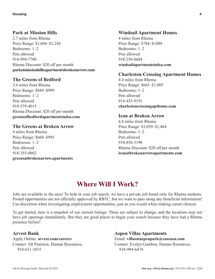#### **Park at Mission Hills**

2.7 miles from Rhema Price Range: \$1,044–\$1,244 Bedrooms: 1–2 Pets allowed 918-994-7700 Rhema Discount: \$20 off per month **[parkatmissionhillsapartmentsbrokenarrow.com](http://parkatmissionhillsapartmentsbrokenarrow.com)**

#### **The Greens of Bedford**

3.6 miles from Rhema Price Range: \$849–\$999 Bedrooms: 1–2 Pets allowed 918-578-4015 Rhema Discount: \$20 off per month **[greensofbedfordapartmentstulsa.com](http://greensofbedfordapartmentstulsa.com)**

#### **The Greens at Broken Arrow**

4 miles from Rhema Price Range: \$660–\$995 Bedrooms: 1–2 Pets allowed 918-355-0802 **[greensatbrokenarrow.apartments](http://greensatbrokenarrow.apartments)**

#### **Windsail Apartment Homes**

4 miles from Rhema Price Range: \$784–\$1089 Bedrooms: 1–2 Pets allowed 918-250-8684 **[windsailapartmentstulsa.com](http://windsailapartmentstulsa.com)**

#### **Charleston Crossing Apartment Homes**

4.4 miles from Rhema Price Range: \$665–\$1,005 Bedrooms: 1–2 Pets allowed 918-455-9191 **[charlestoncrossingapthome.com](http://charlestoncrossingapthome.com)**

#### **Icon at Broken Arrow**

4.8 miles from Rhema Price Range: \$1,039–\$1,464 Bedrooms: 1–2 Pets allowed 918-856-3190 Rhema Discount: \$20 off per month **[iconatbrokenarrowapartments.com](http://iconatbrokenarrowapartments.com)**

# **Where Will I Work?**

Jobs are available in the area! To help in your job search, we have a private job board only for Rhema students. Posted opportunities are not officially approved by RBTC, but we want to pass along any beneficial information! Use discretion when investigating employment opportunities, just as you would when making career choices.

To get started, here is a snapshot of our current listings. These are subject to change, and the locations may not have job openings immediately. But they are good places to begin your search because they have had a Rhema presence before!

#### **Arvest Bank**

Apply Online: **[arvest.com/careers](http://arvest.com/careers)** Contact: Jill Peterson, Human Resources, 918-631-1015

**Aspen Villas Apartments** Email: **[villasataspenpark@caseusa.com](mailto:villasataspenpark%40caseusa.com?subject=)** Contact: Evelyn Gamboa, Human Resources, 918-994-6474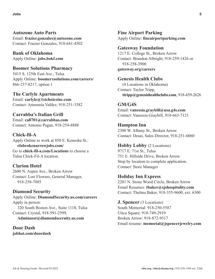**Autozone Auto Parts**  Email: **[frazier.gonzales@autozone.com](mailto:frazier.gonzales%40autozone.com?subject=)** Contact: Frazier Gonzales, 918-641-4502

**Bank of Oklahoma** Apply Online: **[jobs.bokf.com](http://jobs.bokf.com)**

**Boomer Solutions Pharmacy** 5415 S. 125th East Ave., Tulsa Apply Online: **[boomerxsolutions.com/careers/](http://boomerxsolutions.com/careers/)** 866-237-8217, option 1

**The Carlyle Apartments** Email: **[carlyle@1stchoiceinc.com](mailto:carlyle%401stchoiceinc.com?subject=)** Contact: Anastasia Valdez, 918-251-3382

**Carrabba's Italian Grill** Email: **[ca8701@carrabbas.com](mailto:ca8701%40carrabbas.com?subject=)** Contact: Antonio Pagan, 918-254-8888

**Chick-fil-A** Apply Online to work at 850 E. Kenosha St.: **[cfabrokenarrowjobs.com/](http://cfabrokenarrowjobs.com/)** Go to **[chick-fil-a.com/Locations](http://chick-fil-a.com/Locations)** to choose a Tulsa Chick-Fil-A location.

**Clarion Hotel** 2600 N. Aspen Ave., Broken Arrow Contact: Lori Flowers, General Manager, 918-258-7085

**Diamond Security** Apply Online: **[DiamondSecurity.us.com/careers](http://DiamondSecurity.us.com/careers)** Apply in person: 320 South Boston Ave., Suite 1118, Tulsa Contact: Crystal, 918-591-2599, **[Adminasst@diamondsecruity.us.com](mailto:Adminasst%40diamondsecruity.us.com?subject=)**

**Door Dash [jobhat.com/doordash](http://jobhat.com/doordash)** **Fine Airport Parking** Apply Online: **[fineairportparking.com](http://fineairportparking.com)**

#### **Gatesway Foundation**

1217 E. College St., Broken Arrow Contact: Brandon Albright, 918-259-1426 or 918-258-3900 **[gatesway.org/careers](http://gatesway.org/careers)**

#### **Genesis Health Clubs**

(4 Locations in Oklahoma) Contact: Taylor Tripp, **[ttripp@genesishealthclubs.com](mailto:ttripp%40genesishealthclubs.com?subject=)**, 918-459-2626

**GM/G4S** Email: **[vanessia.graybill@usa.g4s.com](mailto:vanessia.graybill%40usa.g4s.com?subject=)** Contact: Vanessia Graybill, 918-663-7121

**Hampton Inn** 2300 W. Albany St., Broken Arrow Contact: Desai, Sales Director, 918-251-6060

**Hobby Lobby** (2 Locations) 9717 E. 71st St., Tulsa 751 E. Hillside Drive, Broken Arrow Stop by location to complete application. Contact: Store Manager

**Holiday Inn Express**

2201 N. Stone Wood Circle, Broken Arrow Email Resumes: **[tbaker@sjshospitality.com](mailto:tbaker%40sjshospitality.com?subject=)** Contact: Thelma Baker, 918-355-9600, ext. 6300

**J. Spencer** (3 Locations) South Memorial: 918-250-5587 Utica Square: 918-749-2919 Broken Arrow: 918-872-9517 Email resume: **[memorial@jspencerjewelry.com](mailto:memorial%40jspencerjewelry.com?subject=)**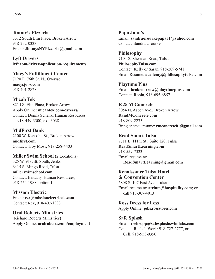**Jimmy's Pizzeria** 3312 South Elm Place, Broken Arrow 918-252-0333 Email: **[JimmysNYPizzeria@gmail.com](mailto:JimmysNYPizzeria%40gmail.com?subject=)**

**Lyft Drivers [lyft.com/driver-application-requirements](http://lyft.com/driver-application-requirements)**

**Macy's Fulfillment Center** 7120 E. 76th St. N., Owasso **[macysjobs.com](http://macysjobs.com)** 918-401-2828

**Micah Tek** 8215 S. Elm Place, Broken Arrow Apply Online: **[micahtek.com/careers/](http://micahtek.com/careers/)** Contact: Donna Schenk, Human Resources, 918-449-3300, ext. 3038

**MidFirst Bank** 2100 W. Kenosha St., Broken Arrow **[midfirst.com](http://midfirst.com/)** Contact: Troy Moss, 918-258-4403

**Miller Swim School** (2 Locations) 525 W. 91st St. South, Jenks 6415 S. Mingo Road, Tulsa **[millerswimschool.com](http://millerswimschool.com)** Contact: Brittany, Human Resources, 918-254-1988, option 1

**Mission Electric** Email: **[rex@missionelectricok.com](mailto:rex%40missionelectricok.com?subject=)** Contact: Rex, 918-407-1333

**Oral Roberts Ministries**  (Richard Roberts Ministries) Apply Online: **[oralroberts.com/employment](http://oralroberts.com/employment)** **Papa John's** Email: **[sandraorourkepapa31@yahoo.com](mailto:sandraorourkepapa31%40yahoo.com?subject=)** Contact: Sandra Orourke

**Philosophy** 7104 S. Sheridan Road, Tulsa **[PhilosophyTulsa.com](http://PhilosophyTulsa.com)** Contact: Kelly or Sarah, 918-209-5741 Email Resume: **[academy@philosophytulsa.com](mailto:academy%40philosophytulsa.com?subject=)**

**Playtime Plus** Email: **[brokenarrow@playtimeplus.com](mailto:brokenarrow%40playtimeplus.com?subject=)** Contact: Robin, 918-695-6857

**R & M Concrete** 3054 N. Aspen Ave., Broken Arrow **[RandMConcrete.com](http://RandMConcrete.com)** 918-809-2235 Bring or email resume: **[rmconcrete01@gmail.com](mailto:rmconcrete01%40gmail.com?subject=)**

**Read Smart Tulsa** 7711 E. 111th St., Suite 120, Tulsa **[ReadSmartLearning.com](http://ReadSmartLearning.com)** 918-559-7323 Email resume to: **[ReadSmartLearning@gmail.com](mailto:ReadSmartLearning%40gmail.com?subject=)**

**Renaissance Tulsa Hotel & Convention Center** 6808 S. 107 East Ave., Tulsa Email resume to: **[atrium@hospitality.com](mailto:atrium%40hospitality.com?subject=)**; or call 918-307-4013

**Ross Dress for Less** Apply Online: **[jobs.rossstores.com](http://jobs.rossstores.com)**

**Safe Splash** Email: **[rschropp@safesplashswimlabs.com](mailto:rschropp%40safesplashswimlabs.com?subject=)** Contact: Rachel, Work: 918-727-2777, or Cell: 918-953-9350